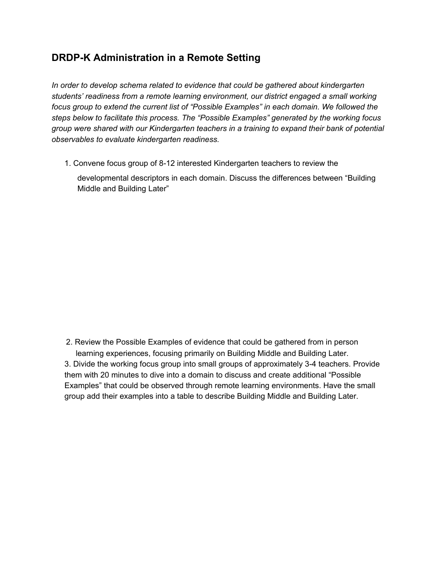## **DRDP-K Administration in a Remote Setting**

*In order to develop schema related to evidence that could be gathered about kindergarten students' readiness from a remote learning environment, our district engaged a small working focus group to extend the current list of "Possible Examples" in each domain. We followed the steps below to facilitate this process. The "Possible Examples" generated by the working focus group were shared with our Kindergarten teachers in a training to expand their bank of potential observables to evaluate kindergarten readiness.*

1. Convene focus group of 8-12 interested Kindergarten teachers to review the

developmental descriptors in each domain. Discuss the differences between "Building Middle and Building Later"

2. Review the Possible Examples of evidence that could be gathered from in person learning experiences, focusing primarily on Building Middle and Building Later. 3. Divide the working focus group into small groups of approximately 3-4 teachers. Provide them with 20 minutes to dive into a domain to discuss and create additional "Possible Examples" that could be observed through remote learning environments. Have the small group add their examples into a table to describe Building Middle and Building Later.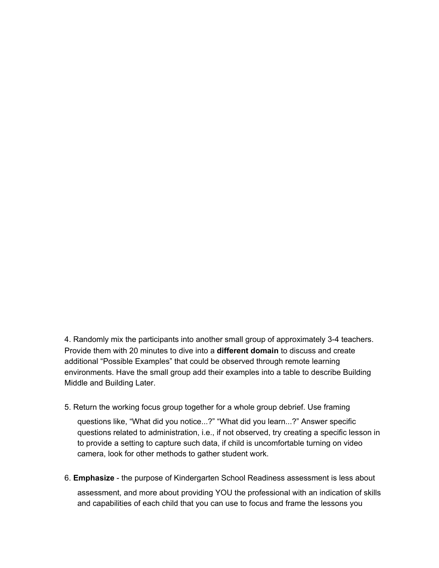4. Randomly mix the participants into another small group of approximately 3-4 teachers. Provide them with 20 minutes to dive into a **different domain** to discuss and create additional "Possible Examples" that could be observed through remote learning environments. Have the small group add their examples into a table to describe Building Middle and Building Later.

5. Return the working focus group together for a whole group debrief. Use framing

questions like, "What did you notice...?" "What did you learn...?" Answer specific questions related to administration, i.e., if not observed, try creating a specific lesson in to provide a setting to capture such data, if child is uncomfortable turning on video camera, look for other methods to gather student work.

6. **Emphasize** - the purpose of Kindergarten School Readiness assessment is less about assessment, and more about providing YOU the professional with an indication of skills and capabilities of each child that you can use to focus and frame the lessons you